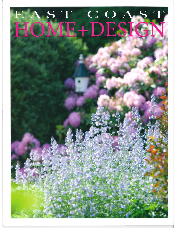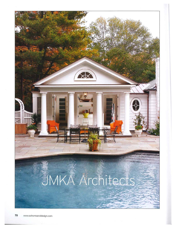